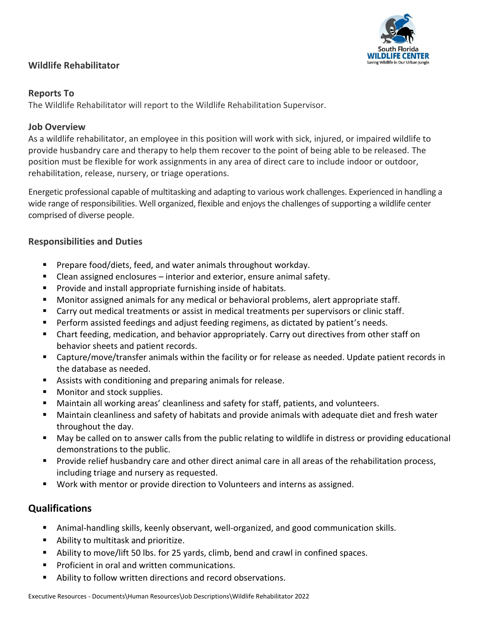## **Wildlife Rehabilitator**



### **Reports To**

The Wildlife Rehabilitator will report to the Wildlife Rehabilitation Supervisor.

# **Job Overview**

As a wildlife rehabilitator, an employee in this position will work with sick, injured, or impaired wildlife to provide husbandry care and therapy to help them recover to the point of being able to be released. The position must be flexible for work assignments in any area of direct care to include indoor or outdoor, rehabilitation, release, nursery, or triage operations.

Energetic professional capable of multitasking and adapting to various work challenges. Experienced in handling a wide range of responsibilities. Well organized, flexible and enjoysthe challenges of supporting a wildlife center comprised of diverse people.

# **Responsibilities and Duties**

- Prepare food/diets, feed, and water animals throughout workday.
- Clean assigned enclosures interior and exterior, ensure animal safety.
- Provide and install appropriate furnishing inside of habitats.
- Monitor assigned animals for any medical or behavioral problems, alert appropriate staff.
- Carry out medical treatments or assist in medical treatments per supervisors or clinic staff.
- Perform assisted feedings and adjust feeding regimens, as dictated by patient's needs.
- Chart feeding, medication, and behavior appropriately. Carry out directives from other staff on behavior sheets and patient records.
- Capture/move/transfer animals within the facility or for release as needed. Update patient records in the database as needed.
- Assists with conditioning and preparing animals for release.
- Monitor and stock supplies.
- Maintain all working areas' cleanliness and safety for staff, patients, and volunteers.
- Maintain cleanliness and safety of habitats and provide animals with adequate diet and fresh water throughout the day.
- May be called on to answer calls from the public relating to wildlife in distress or providing educational demonstrations to the public.
- Provide relief husbandry care and other direct animal care in all areas of the rehabilitation process, including triage and nursery as requested.
- Work with mentor or provide direction to Volunteers and interns as assigned.

# **Qualifications**

- Animal-handling skills, keenly observant, well-organized, and good communication skills.
- Ability to multitask and prioritize.
- Ability to move/lift 50 lbs. for 25 yards, climb, bend and crawl in confined spaces.
- Proficient in oral and written communications.
- Ability to follow written directions and record observations.